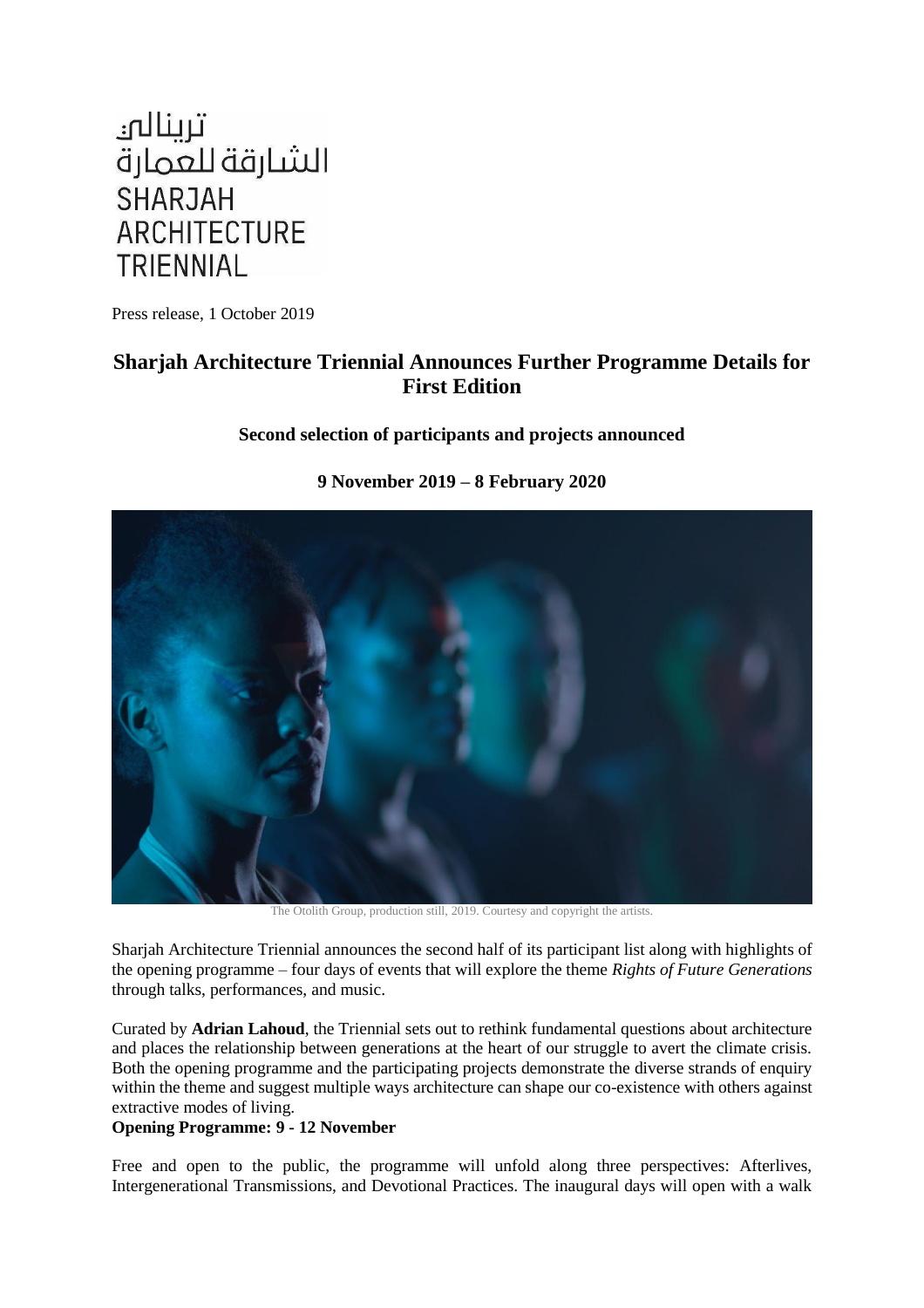

Press release, 1 October 2019

# **Sharjah Architecture Triennial Announces Further Programme Details for First Edition**

## **Second selection of participants and projects announced**



# **9 November 2019 – 8 February 2020**

The Otolith Group, production still, 2019. Courtesy and copyright the artists.

Sharjah Architecture Triennial announces the second half of its participant list along with highlights of the opening programme – four days of events that will explore the theme *Rights of Future Generations* through talks, performances, and music.

Curated by **Adrian Lahoud**, the Triennial sets out to rethink fundamental questions about architecture and places the relationship between generations at the heart of our struggle to avert the climate crisis. Both the opening programme and the participating projects demonstrate the diverse strands of enquiry within the theme and suggest multiple ways architecture can shape our co-existence with others against extractive modes of living.

## **Opening Programme: 9 - 12 November**

Free and open to the public, the programme will unfold along three perspectives: Afterlives, Intergenerational Transmissions, and Devotional Practices. The inaugural days will open with a walk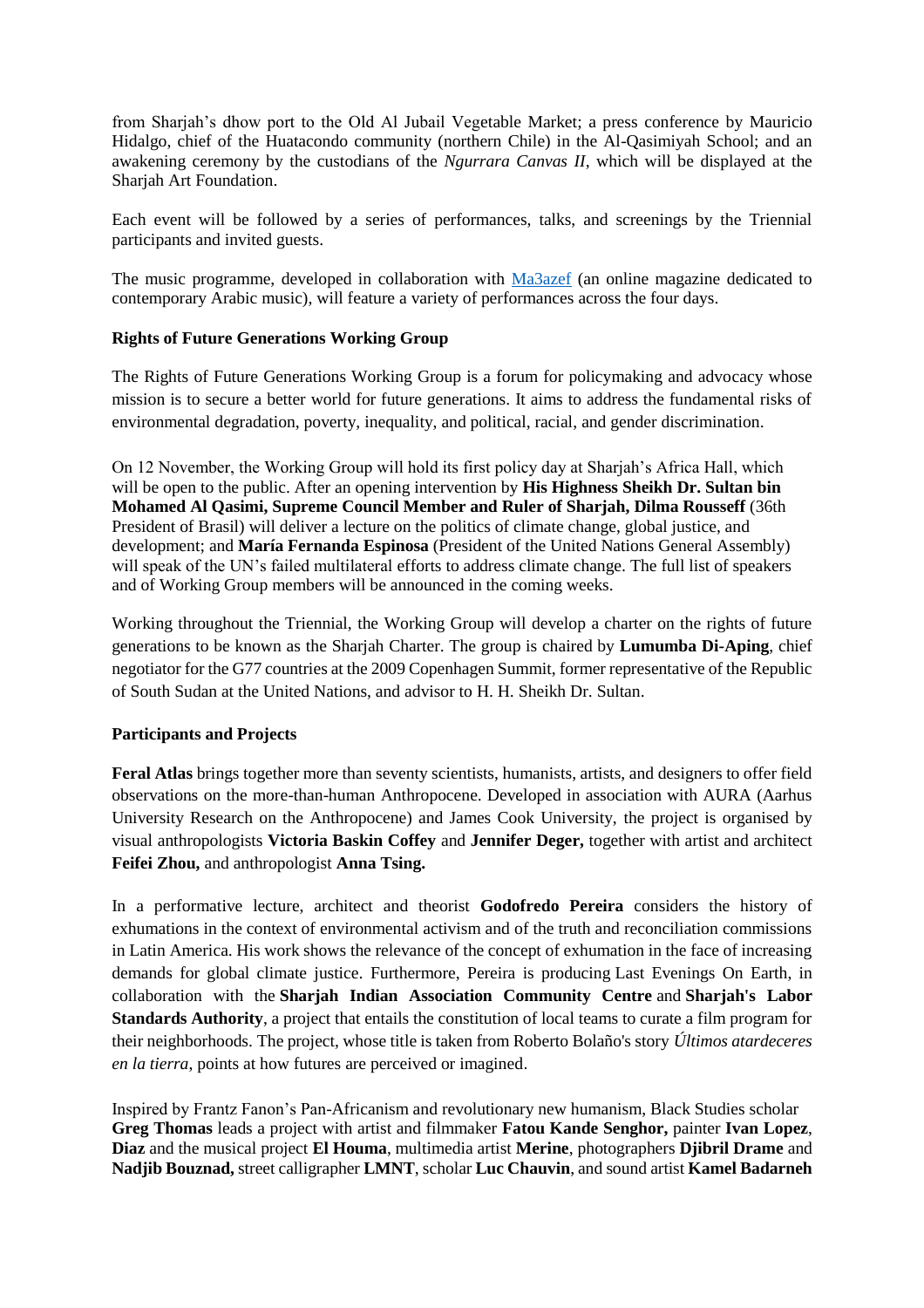from Sharjah's dhow port to the Old Al Jubail Vegetable Market; a press conference by Mauricio Hidalgo, chief of the Huatacondo community (northern Chile) in the Al-Qasimiyah School; and an awakening ceremony by the custodians of the *Ngurrara Canvas II*, which will be displayed at the Sharjah Art Foundation.

Each event will be followed by a series of performances, talks, and screenings by the Triennial participants and invited guests.

The music programme, developed in collaboration with [Ma3azef](https://ma3azef.com/) (an online magazine dedicated to contemporary Arabic music), will feature a variety of performances across the four days.

## **Rights of Future Generations Working Group**

The Rights of Future Generations Working Group is a forum for policymaking and advocacy whose mission is to secure a better world for future generations. It aims to address the fundamental risks of environmental degradation, poverty, inequality, and political, racial, and gender discrimination.

On 12 November, the Working Group will hold its first policy day at Sharjah's Africa Hall, which will be open to the public. After an opening intervention by **His Highness Sheikh Dr. Sultan bin Mohamed Al Qasimi, Supreme Council Member and Ruler of Sharjah, Dilma Rousseff** (36th President of Brasil) will deliver a lecture on the politics of climate change, global justice, and development; and **María Fernanda Espinosa** (President of the United Nations General Assembly) will speak of the UN's failed multilateral efforts to address climate change. The full list of speakers and of Working Group members will be announced in the coming weeks.

Working throughout the Triennial, the Working Group will develop a charter on the rights of future generations to be known as the Sharjah Charter. The group is chaired by **Lumumba Di-Aping**, chief negotiator for the G77 countries at the 2009 Copenhagen Summit, former representative of the Republic of South Sudan at the United Nations, and advisor to H. H. Sheikh Dr. Sultan.

### **Participants and Projects**

**Feral Atlas** brings together more than seventy scientists, humanists, artists, and designers to offer field observations on the more-than-human Anthropocene. Developed in association with AURA (Aarhus University Research on the Anthropocene) and James Cook University, the project is organised by visual anthropologists **Victoria Baskin Coffey** and **Jennifer Deger,** together with artist and architect **Feifei Zhou,** and anthropologist **Anna Tsing.**

In a performative lecture, architect and theorist **Godofredo Pereira** considers the history of exhumations in the context of environmental activism and of the truth and reconciliation commissions in Latin America. His work shows the relevance of the concept of exhumation in the face of increasing demands for global climate justice. Furthermore, Pereira is producing Last Evenings On Earth, in collaboration with the **Sharjah Indian Association Community Centre** and **Sharjah's Labor Standards Authority**, a project that entails the constitution of local teams to curate a film program for their neighborhoods. The project, whose title is taken from Roberto Bolaño's story *Últimos atardeceres en la tierra*, points at how futures are perceived or imagined.

Inspired by Frantz Fanon's Pan-Africanism and revolutionary new humanism, Black Studies scholar **Greg Thomas** leads a project with artist and filmmaker **Fatou Kande Senghor,** painter **Ivan Lopez**, **Diaz** and the musical project **El Houma**, multimedia artist **Merine**, photographers **Djibril Drame** and **Nadjib Bouznad,** street calligrapher **LMNT**, scholar **Luc Chauvin**, and sound artist **Kamel Badarneh**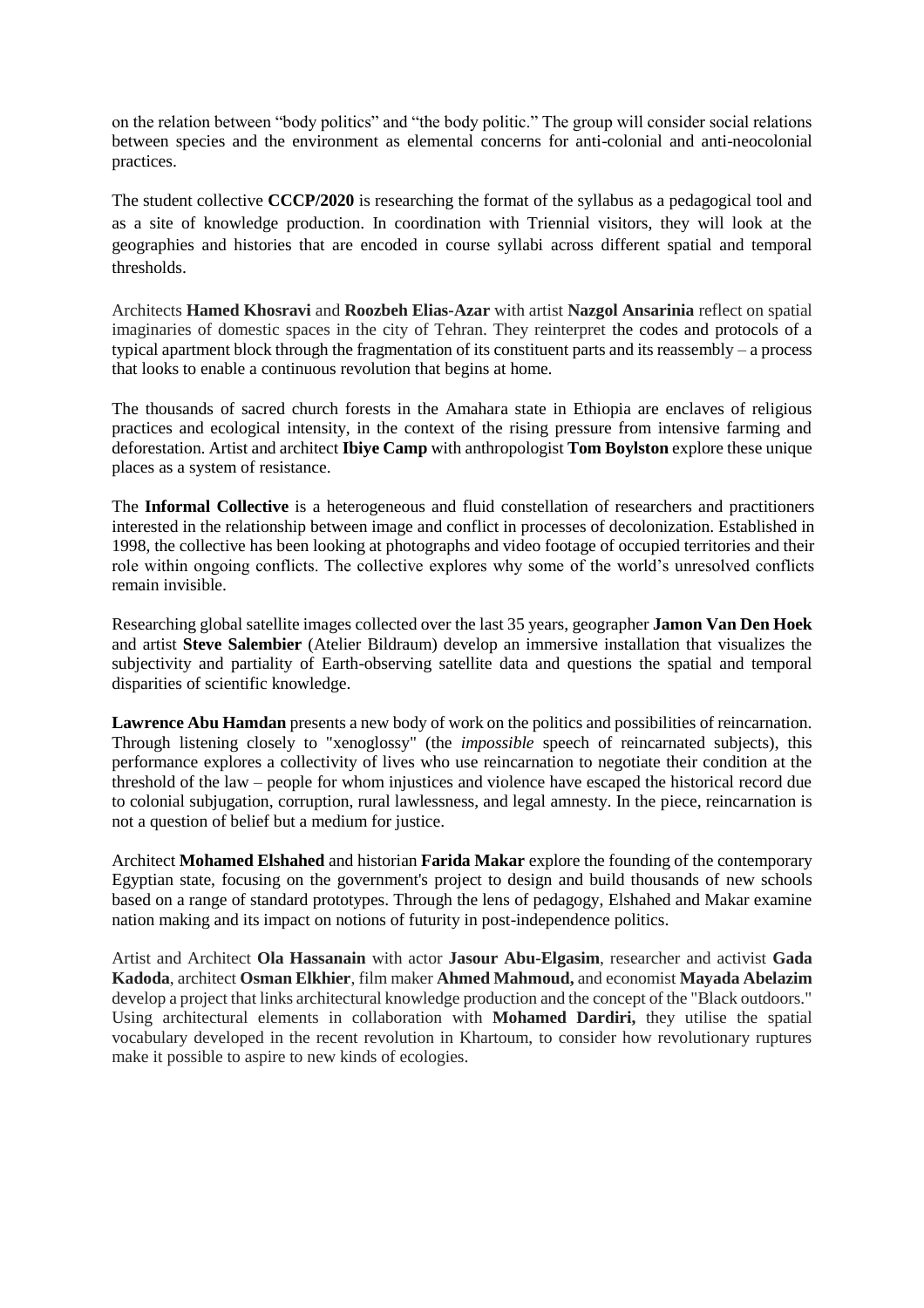on the relation between "body politics" and "the body politic." The group will consider social relations between species and the environment as elemental concerns for anti-colonial and anti-neocolonial practices.

The student collective **CCCP/2020** is researching the format of the syllabus as a pedagogical tool and as a site of knowledge production. In coordination with Triennial visitors, they will look at the geographies and histories that are encoded in course syllabi across different spatial and temporal thresholds.

Architects **Hamed Khosravi** and **Roozbeh Elias-Azar** with artist **Nazgol Ansarinia** reflect on spatial imaginaries of domestic spaces in the city of Tehran. They reinterpret the codes and protocols of a typical apartment block through the fragmentation of its constituent parts and its reassembly – a process that looks to enable a continuous revolution that begins at home.

The thousands of sacred church forests in the Amahara state in Ethiopia are enclaves of religious practices and ecological intensity, in the context of the rising pressure from intensive farming and deforestation. Artist and architect **Ibiye Camp** with anthropologist **Tom Boylston** explore these unique places as a system of resistance.

The **Informal Collective** is a heterogeneous and fluid constellation of researchers and practitioners interested in the relationship between image and conflict in processes of decolonization. Established in 1998, the collective has been looking at photographs and video footage of occupied territories and their role within ongoing conflicts. The collective explores why some of the world's unresolved conflicts remain invisible.

Researching global satellite images collected over the last 35 years, geographer **Jamon Van Den Hoek** and artist **Steve Salembier** (Atelier Bildraum) develop an immersive installation that visualizes the subjectivity and partiality of Earth-observing satellite data and questions the spatial and temporal disparities of scientific knowledge.

**Lawrence Abu Hamdan** presents a new body of work on the politics and possibilities of reincarnation. Through listening closely to "xenoglossy" (the *impossible* speech of reincarnated subjects), this performance explores a collectivity of lives who use reincarnation to negotiate their condition at the threshold of the law – people for whom injustices and violence have escaped the historical record due to colonial subjugation, corruption, rural lawlessness, and legal amnesty. In the piece, reincarnation is not a question of belief but a medium for justice.

Architect **Mohamed Elshahed** and historian **Farida Makar** explore the founding of the contemporary Egyptian state, focusing on the government's project to design and build thousands of new schools based on a range of standard prototypes. Through the lens of pedagogy, Elshahed and Makar examine nation making and its impact on notions of futurity in post-independence politics.

Artist and Architect **Ola Hassanain** with actor **Jasour Abu-Elgasim**, researcher and activist **Gada Kadoda**, architect **Osman Elkhier**, film maker **Ahmed Mahmoud,** and economist **Mayada Abelazim** develop a project that links architectural knowledge production and the concept of the "Black outdoors." Using architectural elements in collaboration with **Mohamed Dardiri,** they utilise the spatial vocabulary developed in the recent revolution in Khartoum, to consider how revolutionary ruptures make it possible to aspire to new kinds of ecologies.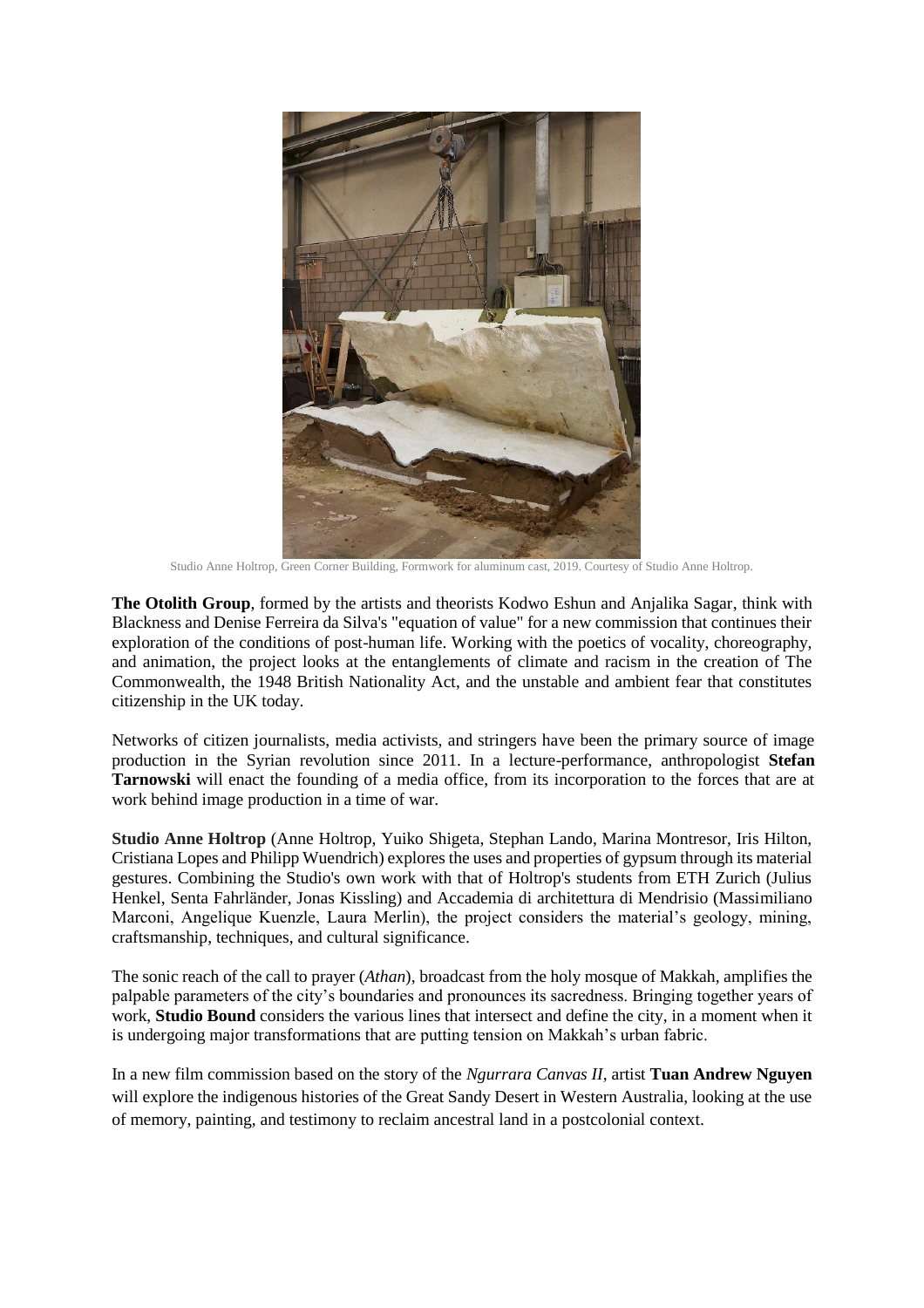

Studio Anne Holtrop, Green Corner Building, Formwork for aluminum cast, 2019. Courtesy of Studio Anne Holtrop.

**The Otolith Group**, formed by the artists and theorists Kodwo Eshun and Anjalika Sagar, think with Blackness and Denise Ferreira da Silva's "equation of value" for a new commission that continues their exploration of the conditions of post-human life. Working with the poetics of vocality, choreography, and animation, the project looks at the entanglements of climate and racism in the creation of The Commonwealth, the 1948 British Nationality Act, and the unstable and ambient fear that constitutes citizenship in the UK today.

Networks of citizen journalists, media activists, and stringers have been the primary source of image production in the Syrian revolution since 2011. In a lecture-performance, anthropologist **Stefan Tarnowski** will enact the founding of a media office, from its incorporation to the forces that are at work behind image production in a time of war.

**Studio Anne Holtrop** (Anne Holtrop, Yuiko Shigeta, Stephan Lando, Marina Montresor, Iris Hilton, Cristiana Lopes and Philipp Wuendrich) explores the uses and properties of gypsum through its material gestures. Combining the Studio's own work with that of Holtrop's students from ETH Zurich (Julius Henkel, Senta Fahrländer, Jonas Kissling) and Accademia di architettura di Mendrisio (Massimiliano Marconi, Angelique Kuenzle, Laura Merlin), the project considers the material's geology, mining, craftsmanship, techniques, and cultural significance.

The sonic reach of the call to prayer (*Athan*), broadcast from the holy mosque of Makkah, amplifies the palpable parameters of the city's boundaries and pronounces its sacredness. Bringing together years of work, **Studio Bound** considers the various lines that intersect and define the city, in a moment when it is undergoing major transformations that are putting tension on Makkah's urban fabric.

In a new film commission based on the story of the *Ngurrara Canvas II*, artist **Tuan Andrew Nguyen** will explore the indigenous histories of the Great Sandy Desert in Western Australia, looking at the use of memory, painting, and testimony to reclaim ancestral land in a postcolonial context.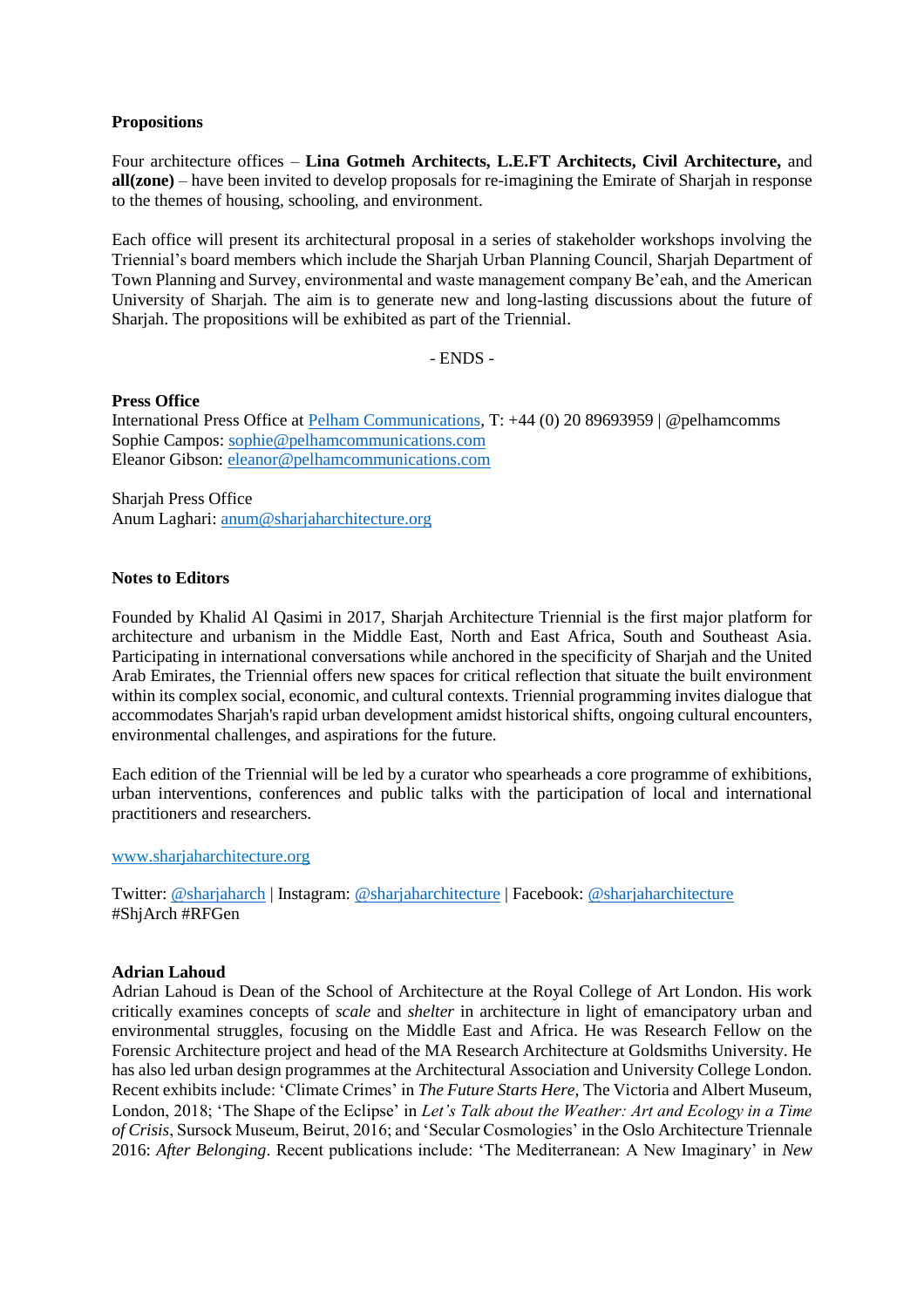### **Propositions**

Four architecture offices – **Lina Gotmeh Architects, L.E.FT Architects, Civil Architecture,** and **all(zone)** – have been invited to develop proposals for re-imagining the Emirate of Sharjah in response to the themes of housing, schooling, and environment.

Each office will present its architectural proposal in a series of stakeholder workshops involving the Triennial's board members which include the Sharjah Urban Planning Council, Sharjah Department of Town Planning and Survey, environmental and waste management company Be'eah, and the American University of Sharjah. The aim is to generate new and long-lasting discussions about the future of Sharjah. The propositions will be exhibited as part of the Triennial.

- ENDS -

#### **Press Office**

International Press Office at [Pelham Communications,](https://pelhamcommunications.com/) T: +44 (0) 20 89693959 | @pelhamcomms Sophie Campos: [sophie@pelhamcommunications.com](mailto:sophie@pelhamcommunications.com) Eleanor Gibson: [eleanor@pelhamcommunications.com](mailto:eleanor@pelhamcommunications.com) 

Sharjah Press Office Anum Laghari: [anum@sharjaharchitecture.org](mailto:anum@sharjaharchitecture.org)

#### **Notes to Editors**

Founded by Khalid Al Qasimi in 2017, Sharjah Architecture Triennial is the first major platform for architecture and urbanism in the Middle East, North and East Africa, South and Southeast Asia. Participating in international conversations while anchored in the specificity of Sharjah and the United Arab Emirates, the Triennial offers new spaces for critical reflection that situate the built environment within its complex social, economic, and cultural contexts. Triennial programming invites dialogue that accommodates Sharjah's rapid urban development amidst historical shifts, ongoing cultural encounters, environmental challenges, and aspirations for the future.

Each edition of the Triennial will be led by a curator who spearheads a core programme of exhibitions, urban interventions, conferences and public talks with the participation of local and international practitioners and researchers.

#### [www.sharjaharchitecture.org](https://www.sharjaharchitecture.org/pages/triennial-2019)

Twitter: [@sharjaharch](https://twitter.com/sharjaharch) | Instagram: [@sharjaharchitecture](https://www.instagram.com/sharjaharchitecture/) | Facebook: [@sharjaharchitecture](https://www.facebook.com/sharjaharchitecture/) #ShjArch #RFGen

#### **Adrian Lahoud**

Adrian Lahoud is Dean of the School of Architecture at the Royal College of Art London. His work critically examines concepts of *scale* and *shelter* in architecture in light of emancipatory urban and environmental struggles, focusing on the Middle East and Africa. He was Research Fellow on the Forensic Architecture project and head of the MA Research Architecture at Goldsmiths University. He has also led urban design programmes at the Architectural Association and University College London. Recent exhibits include: 'Climate Crimes' in *The Future Starts Here,* The Victoria and Albert Museum, London, 2018; 'The Shape of the Eclipse' in *Let's Talk about the Weather: Art and Ecology in a Time of Crisis*, Sursock Museum, Beirut, 2016; and 'Secular Cosmologies' in the Oslo Architecture Triennale 2016: *After Belonging*. Recent publications include: 'The Mediterranean: A New Imaginary' in *New*